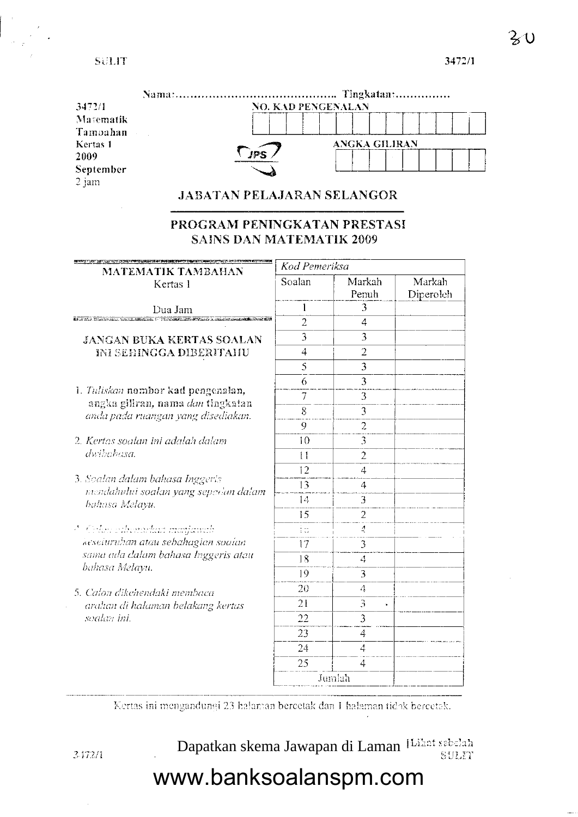3472/1

| 3472/1    | <b>NO. KAD PENGENALAN</b> |  |  |
|-----------|---------------------------|--|--|
| Matematik |                           |  |  |
| Tamoahan  |                           |  |  |
| Kertas 1  | <b>ANGKA GILIRAN</b>      |  |  |
| 2009      |                           |  |  |
| September |                           |  |  |
| 2 jam     |                           |  |  |

#### JABATAN PELAJARAN SELANGOR

#### PROGRAM PENINGKATAN PRESTASI **SAINS DAN MATEMATIK 2009**

| MATEMATIK TAMBAHAN                                                                                            | Kod Pemeriksa               |                 |                     |
|---------------------------------------------------------------------------------------------------------------|-----------------------------|-----------------|---------------------|
| Kertas 1                                                                                                      | Soalan                      | Markah<br>Penuh | Markah<br>Diperoleh |
| Dua Jam                                                                                                       | 1                           | 3               |                     |
| ES LE MAIS ESCRIPTUR SERIE NOMBRE CHARLES DE                                                                  | $\overline{2}$              | 4               |                     |
| <b>JANGAN BUKA KERTAS SOALAN</b>                                                                              | 3                           | 3               |                     |
| <b>INI SEHINGGA DIBERITAHU</b>                                                                                | 4                           | $\overline{2}$  |                     |
|                                                                                                               | $\mathcal{S}_{\mathcal{S}}$ | 3               |                     |
| 1. Tuliskan nombor kad pengenalan,<br>angka giliran, nama dan tingkatan<br>anda pada ruangan yang disediakan. | 6                           | 3               |                     |
|                                                                                                               | 7                           | 3               |                     |
|                                                                                                               | 8                           | 3               |                     |
|                                                                                                               | 9                           | $\overline{2}$  |                     |
| 2. Kertas soalan ini adalah dalam                                                                             | 10                          | 3               |                     |
| dwibahasa.                                                                                                    | Ħ                           | $\overline{2}$  |                     |
| 3. Soalan dalam bahasa Inggeris<br>mendahului soalan yang sepedan dalam<br>bahasa Melayu.                     | 12                          | 4               |                     |
|                                                                                                               | 13                          | 4               |                     |
|                                                                                                               | 4                           | 3               |                     |
|                                                                                                               | 15                          | $\overline{2}$  |                     |
| $\mathcal{F}$ of the contraction is a monotonical                                                             | it                          | 4               |                     |
| Reseturuhan atau sebahagian soatan                                                                            | 17                          | 3               |                     |
| sama ada dalam bahasa Inggeris atau                                                                           | 18                          | 4               |                     |
| bahasa Melayu.                                                                                                | 19                          | 3               |                     |
| 5. Calon dikehendaki membaca                                                                                  | 20                          | 4               |                     |
| arahan di halaman belakang kertas                                                                             | 21                          | 3<br>¥          |                     |
| soalan ini.                                                                                                   | 22                          | 3               |                     |
|                                                                                                               | 23                          | 4               |                     |
|                                                                                                               | 24                          | 4               |                     |
|                                                                                                               | 25                          | 4               |                     |
|                                                                                                               |                             | Jombh           |                     |

Kertas ini mengandungi 23 halaman bercetak dan 1 halaman tidak bercetak.

3472/1

Dapatkan skema Jawapan di Laman [Likat sebalah SULFT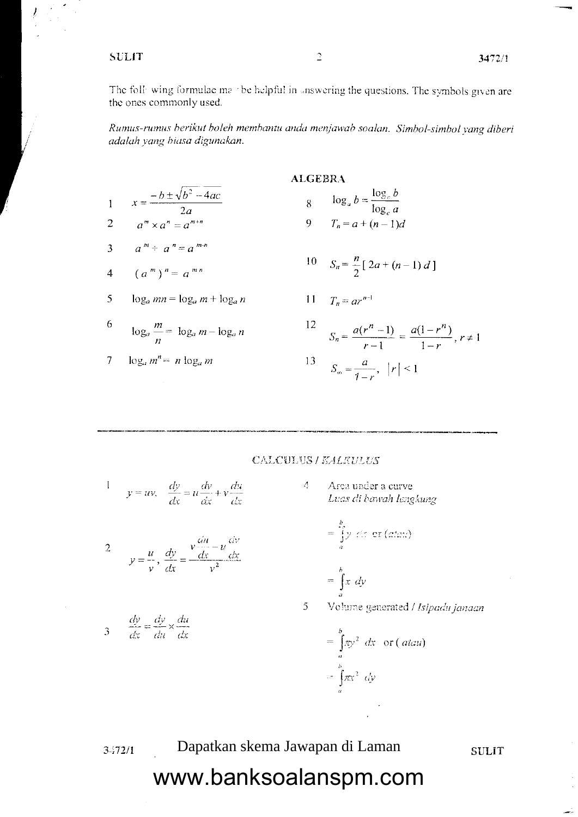The foll: wing formulae mas be helpful in answering the questions. The symbols given are the ones commonly used.

Rumus-rumus berikut boleh membantu anda menjawab soalan. Simbol-simbol yang diberi adalah yang biasa digunakan.

 $\sum_{i=1}^{n}$ 

|    | ALGEDKA                                                                     |  |                                                                      |
|----|-----------------------------------------------------------------------------|--|----------------------------------------------------------------------|
|    | $x = \frac{-b \pm \sqrt{b^2 - 4ac}}{2a}$<br>2<br>$a^m \times a^n = a^{m+n}$ |  | $8 \qquad \log_a b = \frac{\log_c b}{\log_c a}$                      |
|    |                                                                             |  | 9 $T_n = a + (n-1)d$                                                 |
| 1  | $a^m \div a^n = a^{m-n}$<br>$(a^m)^n = a^{mn}$                              |  | 10 $S_n = \frac{n}{2} [2a + (n-1)d]$                                 |
|    | $\log_a mn = \log_a m + \log_a n$                                           |  | 11 $T_n = ar^{n-1}$                                                  |
|    | $\log_a \frac{m}{n} = \log_a m - \log_a n$                                  |  | $\frac{12}{s_n} = \frac{a(r^n - 1)}{r - 1} = \frac{a(1 - r)}{1 - r}$ |
| 7. | $\log_a m^n = n \log_a m$                                                   |  | $S_{\infty} = \frac{a}{1-r}, \quad  r  \leq 1$                       |

 $\frac{(r^n - 1)}{r - 1} = \frac{a(1 - r^n)}{1 - r}, r \neq 1$ 

$$
S_{\infty} = \frac{a}{1-r}, \ \ |r| < 1
$$

#### CALCULUS / KALKULUS

$$
1 \t y = uv, \frac{dy}{dx} = u\frac{dv}{dx} + v\frac{du}{dx}
$$

$$
2 \qquad y = \frac{u}{v}, \frac{dy}{dx} = \frac{v \frac{du}{dx} - u \frac{dv}{dx}}{v^2}
$$

3  $\frac{dy}{dx} = \frac{dy}{du} \times \frac{du}{dx}$ 

 $\boldsymbol{A}$ Area under a curve Luas di bawah lengkung

$$
=\int_a^b y \ll \text{ or } (atan)
$$

$$
= \int_{a}^{b} x \, dy
$$

5 Volume generated / Isipadu janaan

$$
= \int_{a}^{b} \pi y^2 dx \text{ or } (atau)
$$

$$
= \int_{a}^{b} \pi x^2 dy
$$

 $3 - 72/1$ 

#### Dapatkan skema Jawapan di Laman

**SULIT**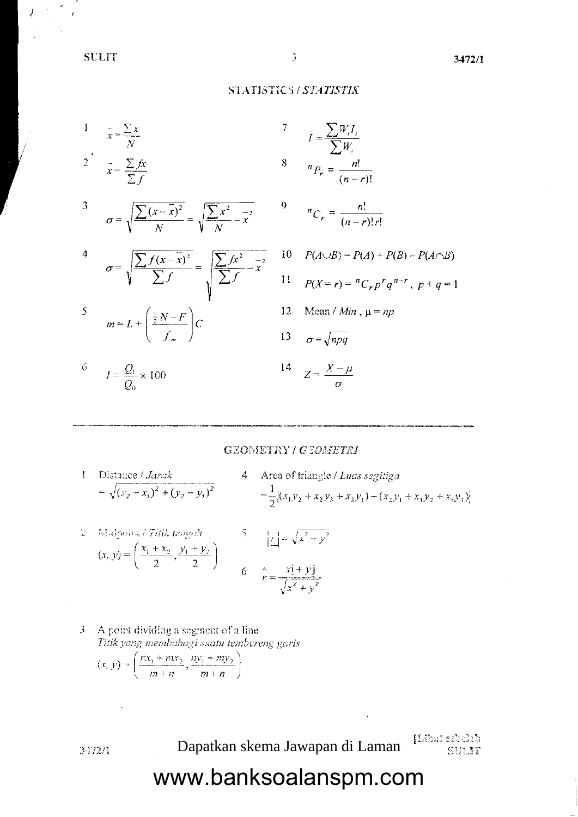#### STATISTICS / STATISTIK

1 
$$
\bar{x} = \frac{\sum x}{N}
$$
  
\n2  $\bar{x} = \frac{\sum fx}{\sum f}$   
\n3  $\sigma = \sqrt{\frac{\sum (x - \bar{x})^2}{N}} = \sqrt{\frac{\sum x^2}{N} - \bar{x}^2}$   
\n4  $\sigma = \sqrt{\frac{\sum f(x - \bar{x})^2}{\sum f}} = \sqrt{\frac{\sum x^2}{N} - \bar{x}^2}$   
\n5  $m = L + \left(\frac{\frac{1}{2}N - F}{f_m}\right)C$   
\n6  $I = \frac{Q_1}{Q_0} \times 100$   
\n7  $T = \frac{\sum W_i I_i}{N}$   
\n8  $n_{P_r} = \frac{n!}{(n-r)!}$   
\n9  $n_{C_r} = \frac{n!}{(n-r)!r!}$   
\n10  $P(A \cup B) = P(A) + P(B) - P(A \cap B)$   
\n11  $P(X = r) = {}^nC_r p^r q^{n-r}, p + q = 1$   
\n12  $\text{Mean } / \text{Min }, \mu = np$   
\n13  $\sigma = \sqrt{npq}$   
\n14  $Z = \frac{X - \mu}{\sigma}$ 

#### GEOMETRY / GEOMETRI

- 1 Distance / Jarak<br>=  $\sqrt{(x_2 x_1)^2 + (y_2 y_1)^2}$
- 4 Area of triangle / Luas segitiga  $=\frac{1}{2}[(x_1y_2+x_2y_3+x_3y_1)-(x_2y_1+x_3y_2+x_1y_3)]$
- 2 Midoonsi / Titik tengah  $(x, y) = \left(\frac{x_1 + x_2}{2}, \frac{y_1 + y_2}{2}\right)$

$$
2^{\left(x_{1} + y_{2} + x_{2} + y_{3}\right)} \quad (x_{2} + y_{1})
$$
\n
$$
5 \quad |y_{1}| = \sqrt{x^{2} + y^{2}}
$$
\n
$$
6 \quad \hat{y} = \frac{x_{1} + y_{1}}{\sqrt{x^{2} + y^{2}}}
$$

3 A point dividing a segment of a line Titik yang membahagi suatu tembereng garis  $(x, y) = \left(\frac{n x_1 + m x_2}{m+n}, \frac{n y_1 + m y_2}{m+n}\right)$ 

 $3.172/1$ 

Dapatkan skema Jawapan di Laman

[Lihat sebelah SULIT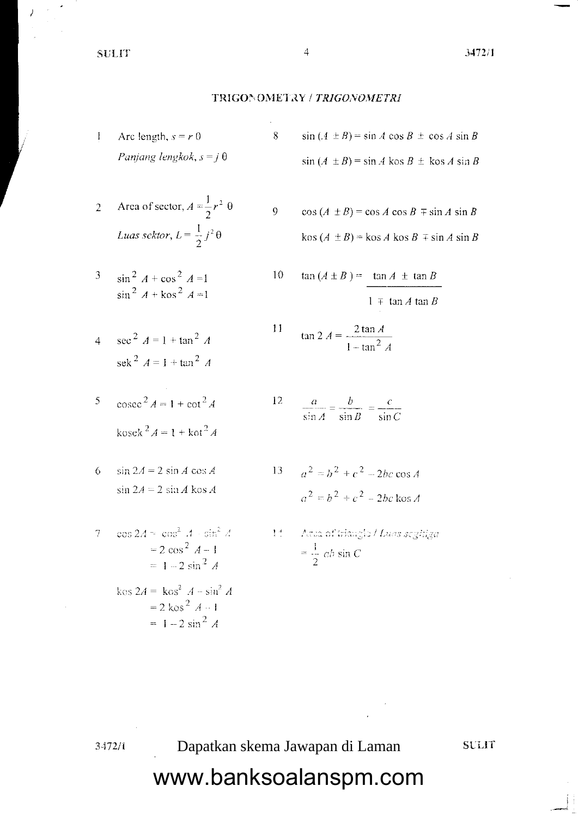#### TRIGONOMETRY / TRIGONOMETRI

8

 $11$ 

- $\mathbf{I}$ Arc length,  $s = r \theta$ Panjang lengkok,  $s = j \theta$
- Area of sector,  $A = \frac{1}{2}r^2 \theta$  $\overline{2}$ 9 Luas sektor,  $L = \frac{1}{2} j^2 \theta$
- $\sin^2 A + \cos^2 A = 1$  $\overline{3}$ 10  $\sin^2 A + \cos^2 A = 1$
- $\sec^2 A = 1 + \tan^2 A$  $\overline{A}$ sek<sup>2</sup>  $A = 1 + \tan^2 A$
- $\csc^2 A = 1 + \cot^2 A$ 5  $kosek<sup>2</sup> A = 1 + kot<sup>2</sup> A$
- $\sin 2A = 2 \sin A \cos A$ 6  $\sin 2A = 2 \sin A \cos A$
- $\cos 2A = \cos^2 A + \sin^2 A$  $\gamma$  $= 2 \cos^2 A - 1$  $= 1 - 2 \sin^2 A$ kos  $2A = k \cos^2 A - \sin^2 A$  $= 2 \text{ kos}^2 A - 1$  $= 1 - 2 \sin^2 A$
- $sin (A \pm B) = sin A cos B \pm cos A sin B$  $sin (A \pm B) = sin A$  kos  $B \pm$  kos A sin B
- $\cos (A \pm B) = \cos A \cos B \mp \sin A \sin B$
- $\cos (A \pm B) = \cos A \cos B \mp \sin A \sin B$
- $\tan (A \pm B) = \tan A \pm \tan B$  $1 \mp \tan A \tan B$

$$
\tan 2 A = \frac{2 \tan A}{1 - \tan^2 A}
$$

- 12  $\frac{a}{\sin A} = \frac{b}{\sin B} = \frac{c}{\sin C}$
- $a^2 = b^2 + c^2 2bc \cos A$ 13  $a^2 = b^2 + c^2 - 2bc \cos A$
- Area of triangle / Luas segitiga  $1/\sigma$  .  $=\frac{1}{2}$  ab sin C

3472/1

Dapatkan skema Jawapan di Laman

**SULIT**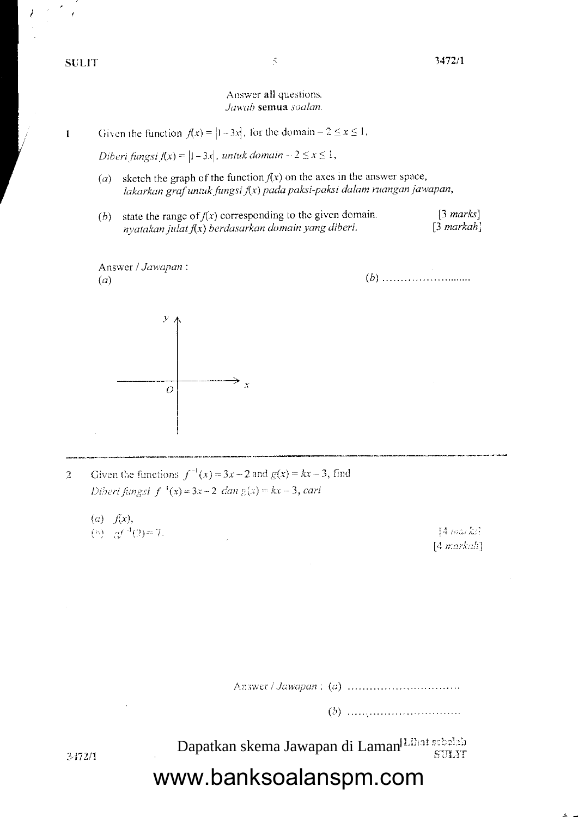$\mathbf{I}$ 

#### Answer all questions. Jawab semua soalan.

Given the function  $f(x) = |1-3x|$ , for the domain  $-2 \le x \le 1$ ,

Diberi fungsi  $f(x) = |1-3x|$ , untuk domain  $-2 \le x \le 1$ ,

- sketch the graph of the function  $f(x)$  on the axes in the answer space,  $(a)$ lakarkan graf untuk fungsi f(x) pada paksi-paksi dalam ruangan jawapan,
- state the range of  $f(x)$  corresponding to the given domain.  $[3 \text{ marks}]$  $(b)$ nyatakan julat f(x) berdasarkan domain yang diberi.  $[3$  markah]



- Given the functions  $f^{-1}(x) = 3x 2$  and  $g(x) = kx 3$ , find  $\overline{2}$ Diberi fungsi  $f^{-1}(x) = 3x - 2$  dan  $g(x) = kx - 3$ , cari
	- $(a)$   $f(x)$ , (b) of  $(2) = 7$ .

 $[4$  market  $[4$  markah]

Dapatkan skema Jawapan di Laman Lihat sebelah SULIT

### www.banksoalanspm.com

3472/1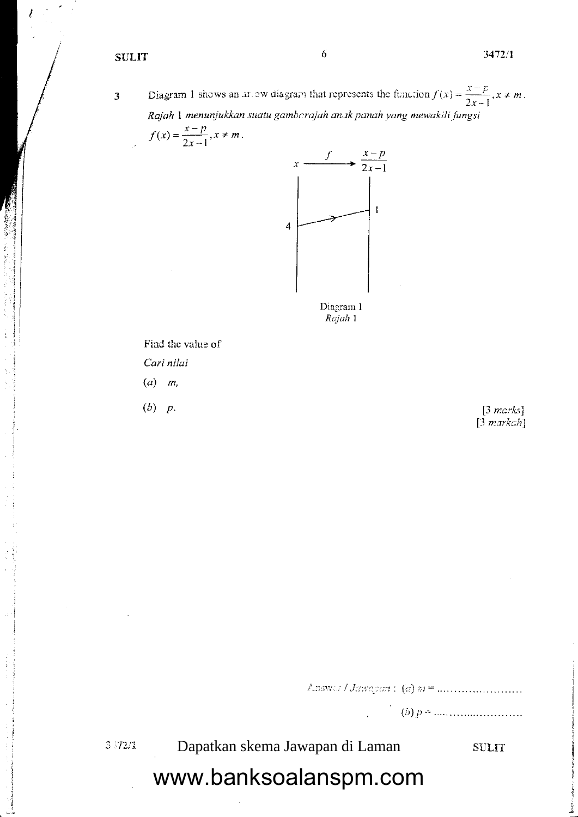$\mathbf{3}$ 

藤原彦第二 アドロオア

Diagram 1 shows an arrow diagram that represents the function  $f(x) = \frac{x - p}{2x - 1}$ ,  $x \neq m$ . Rajah 1 menunjukkan suatu gambarajah anak panah yang mewakili fungsi  $f(x) = \frac{x-p}{2x-1}, x \neq m.$ 



Diagram 1 Rajah 1

Find the value of Cari nilai  $(a)$  m,  $(b)$   $p$ .

 $[3 \text{ marks}]$  $[3$  markah]

 $Answer / Jswa, can: (a) \; m = 1, 2, ..., 3$ 

 $3372/3$ 

Dapatkan skema Jawapan di Laman

**SULIT**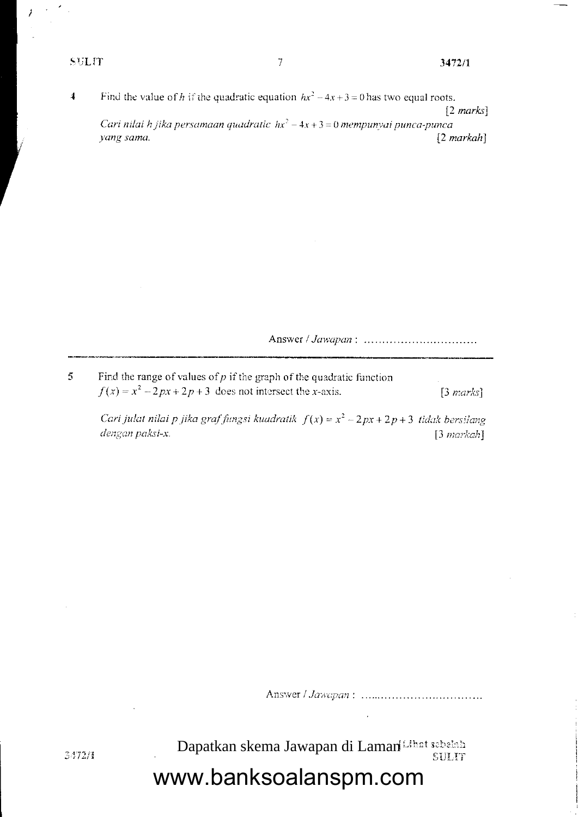Find the value of h if the quadratic equation  $hx^2 - 4x + 3 = 0$  has two equal roots.  $\ddot{\bullet}$  $[2 \text{ marks}]$ Cari nilai h jika persamaan quadratic  $hx^2 - 4x + 3 = 0$  mempunyai punca-punca  $[2$  markah] yang sama.

 $\overline{5}$ Find the range of values of  $p$  if the graph of the quadratic function  $f(x) = x^2 - 2px + 2p + 3$  does not intersect the x-axis.  $[3 marks]$ 

Cari julat nilai p jika graf fungsi kuadratik  $f(x) = x^2 - 2px + 2p + 3$  tidak bersilang dengan paksi-x.  $[3$  markah $]$ 

Dapatkan skema Jawapan di Laman Libat sebelah SULIT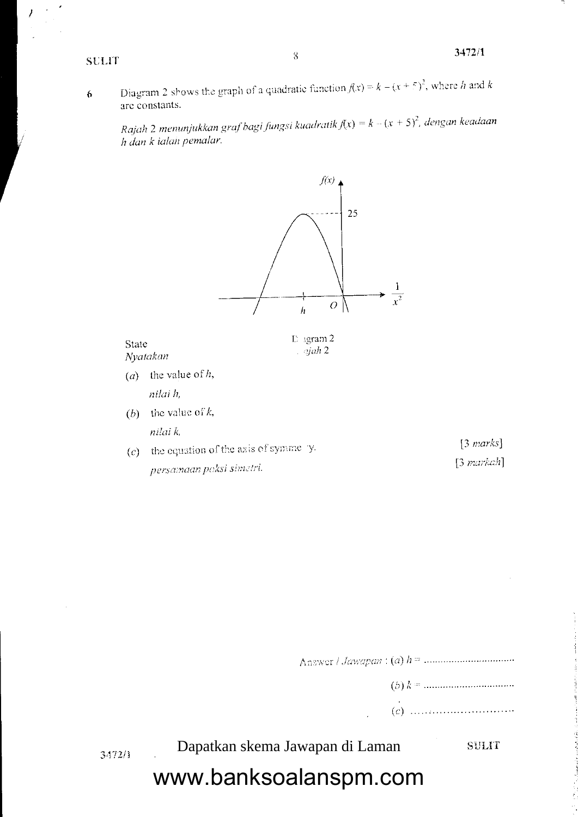6

Diagram 2 shows the graph of a quadratic function  $f(x) = k - (x + 5)^2$ , where h and k are constants.

Rajah 2 menunjukkan graf bagi fungsi kuadratik  $f(x) = k - (x + 5)^2$ , dengan keadaan h dan k ialah pemalar.



3472/1

Dapatkan skema Jawapan di Laman

SULIT

المائية المواقع المواقع المواقع المواقع المواقع المواقع المواقع المواقع المواقع المواقع المواقع المواقع المواق<br>والمواقع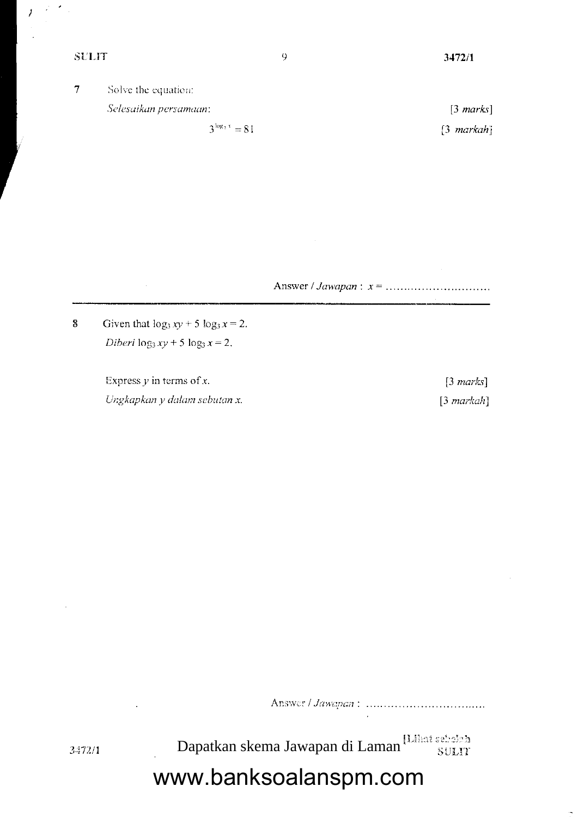3472/1

 $\overline{7}$ Solve the equation:

Selesaikan persamaan:

 $3^{\log_2 x} = 81$ 

9

 $[3 \text{ marks}]$  $[3$  markah]

 $8\,$ Given that  $\log_3 xy + 5 \log_3 x = 2$ . Diberi  $\log_3 xy + 5 \log_3 x = 2$ .

> Express  $y$  in terms of  $x$ . Ungkapkan y dalam sebutan x.

 $[3 marks]$  $[3$  markah]

Dapatkan skema Jawapan di Laman [Lihat sebelah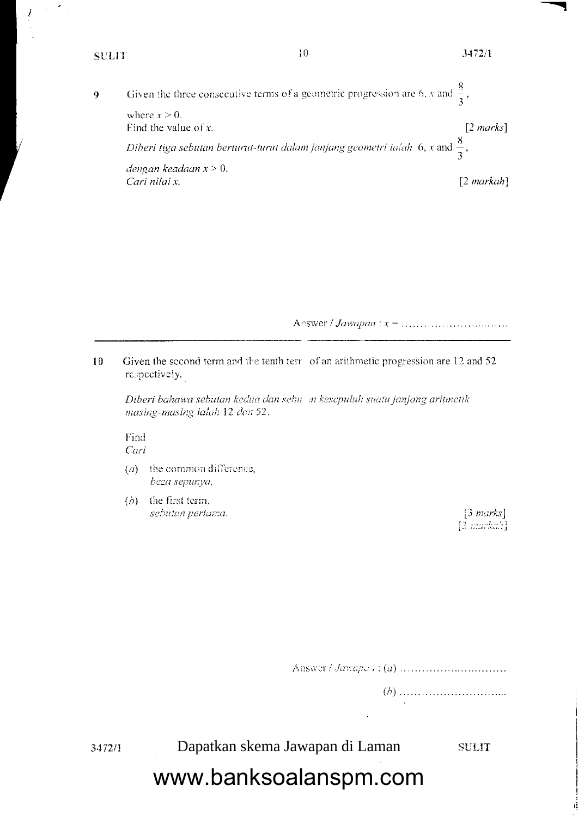$\boldsymbol{Q}$ 

3472/1

Given the three consecutive terms of a geometric progression are 6, x and  $\frac{8}{3}$ , where  $x > 0$ . Find the value of  $x$ .  $[2 \text{ marks}]$ Diberi tiga sebutan berturut-turut dalam janjang geometri ialah 6, x and  $\frac{8}{3}$ , dengan keadaan  $x > 0$ .  $[2$  markah] Cari nilai x.

 $10$ Given the second term and the tenth term of an arithmetic progression are 12 and 52 re.spectively.

Diberi bahawa sebutan kedua dan sebu an kesepuluh suatu janjang aritmetik masing-masing ialah 12 dan 52.

Find

Cari

- $(a)$  the common difference, beza sepunya,
- $(b)$  the first term. sebutan pertama.

 $[3 \text{ marks}]$  $[3$  market<sup>1</sup>

3472/1

Dapatkan skema Jawapan di Laman

**SULIT**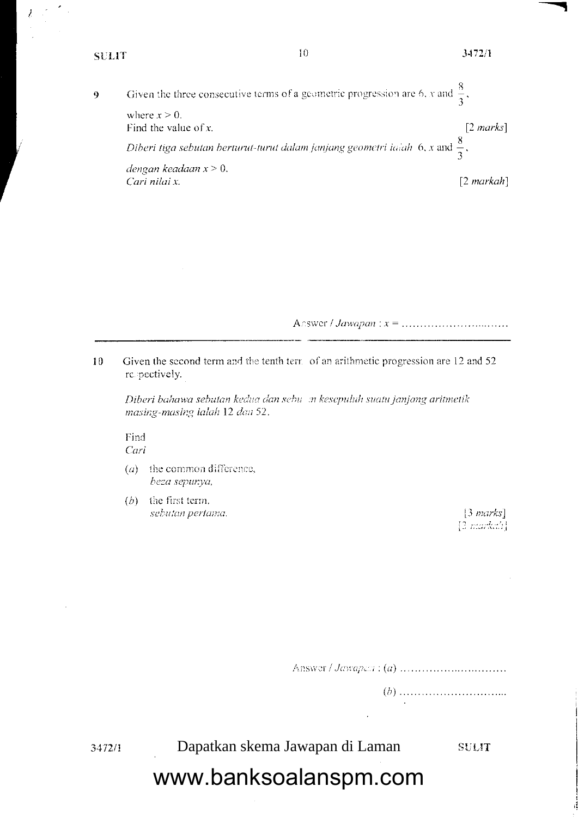$\dot{Q}$ 

3472/1

Given the three consecutive terms of a geometric progression are 6, x and  $\frac{8}{3}$ , where  $x > 0$ . Find the value of  $x$ .  $[2 \text{ marks}]$ Diberi tiga sebutan berturut-turut dalam janjang geometri ialah 6, x and  $\frac{8}{3}$ , dengan keadaan  $x > 0$ .  $[2$  markah] Cari nilai x.

10 Given the second term and the tenth term of an arithmetic progression are 12 and 52 re pectively.

Diberi bahawa sebutan kedua dan sebu m kesepuluh suatu janjang aritmetik masing-masing ialah 12 dan 52.

Find

Cari

- $(a)$  the common difference, beza sepunya,
- $(b)$  the first term. sebutan pertama.

 $[3 \text{ marks}]$  $[3]$  markets  $[$ 

3472/1

Dapatkan skema Jawapan di Laman

**SULIT**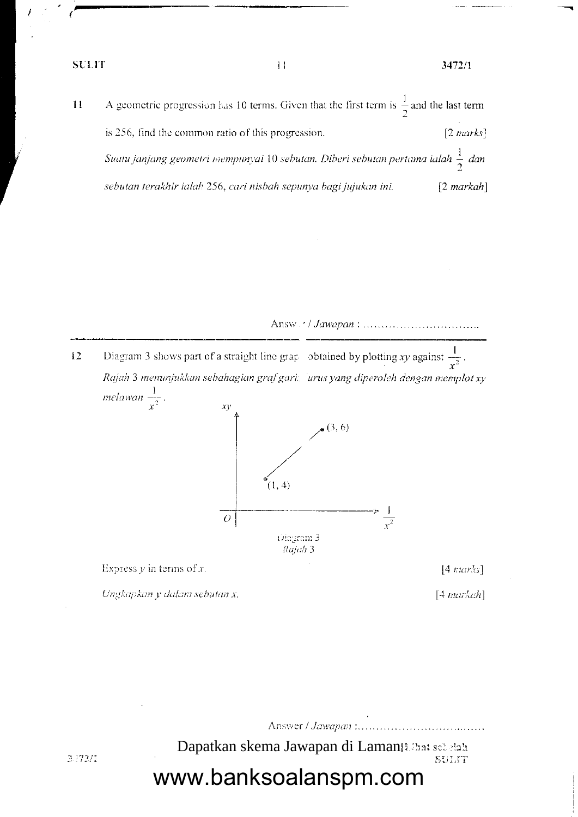A geometric progression has 10 terms. Given that the first term is  $\frac{1}{2}$  and the last term 11 is 256, find the common ratio of this progression.  $[2 \text{ marks}]$ Suatu janjang geometri mempunyai 10 sebutan. Diberi sebutan pertama ialah  $\frac{1}{2}$  dan sebutan terakhir ialah 256, cari nisbah sepunya bagi jujukan ini.  $[2$  markah]

 $11$ 

 $\frac{1}{\sqrt{2}}$ .  $12$ Diagram 3 shows part of a straight line grap obtained by plotting  $xy$  against. Rajah 3 menunjukkan sebahagian graf gari: 'urus yang diperoleh dengan memplot xy *melawan*  $\frac{1}{r^2}$ .  $xy$ 



Express  $y$  in terms of  $x$ .

Ungkapkan y dalam sebutan x.

 $[4$  marks]

[4 markah]

Dapatkan skema Jawapan di Laman li hat sel alah SULIT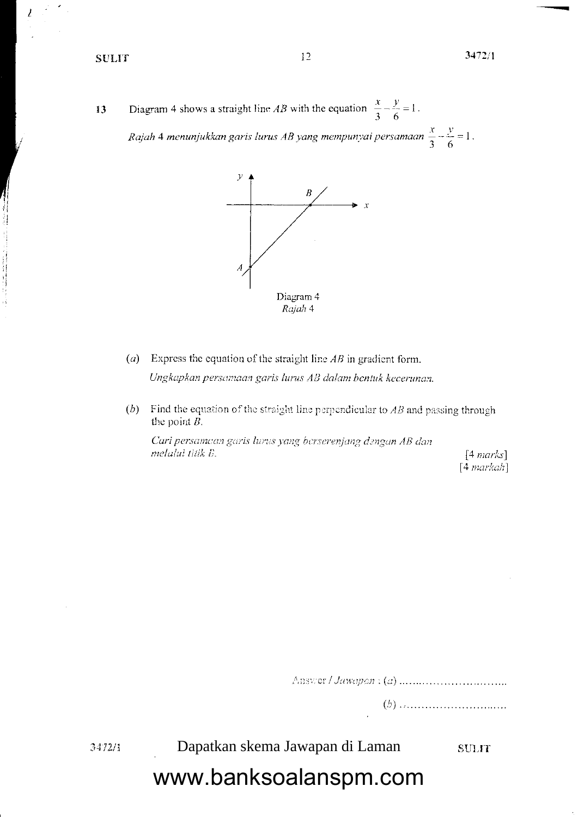Diagram 4 shows a straight line AB with the equation  $\frac{x}{3} - \frac{y}{6} = 1$ . 13

Rajah 4 menunjukkan garis lurus AB yang mempunyai persamaan  $\frac{x}{3} - \frac{y}{6} = 1$ .



- (a) Express the equation of the straight line  $AB$  in gradient form. Ungkapkan persamaan garis lurus AB dalam bentuk kecerunan.
- (b) Find the equation of the straight line perpendicular to  $AB$  and passing through the point  $B$ .

Cari persamaan garis lurus yang berserenjang dengan AB dan melalui titik B.

 $[4 marks]$  $[4$  markah]

3472/1

Dapatkan skema Jawapan di Laman

**SULIT**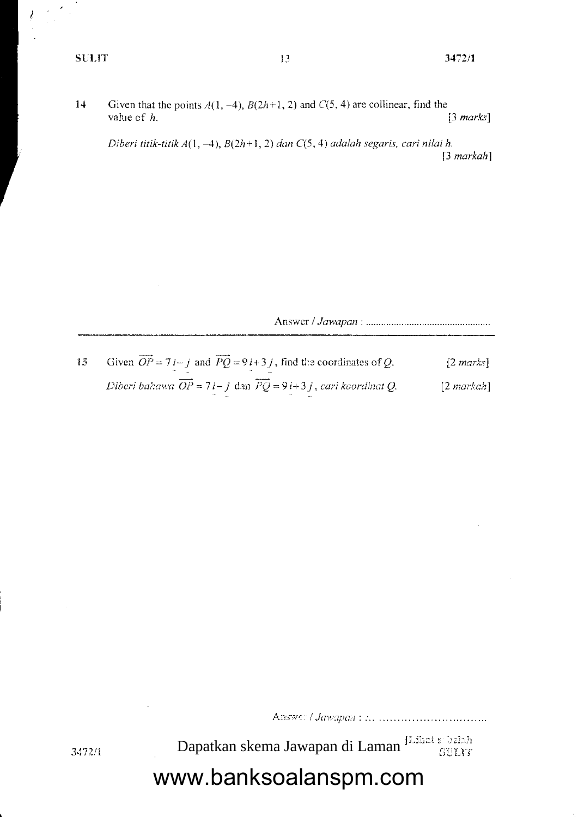- 14 Given that the points  $A(1, -4)$ ,  $B(2h+1, 2)$  and  $C(5, 4)$  are collinear, find the value of  $h$ .  $[3 \text{ marks}]$ 
	- Diberi titik-titik  $A(1, -4)$ ,  $B(2h+1, 2)$  dan  $C(5, 4)$  adalah segaris, cari nilai h.  $[3$  markah]

Given  $\overrightarrow{OP} = 7i - j$  and  $\overrightarrow{PQ} = 9i + 3j$ , find the coordinates of Q. 15  $[2 \text{ marks}]$ Diberi bakawa  $\overrightarrow{OP} = 7i - j$  dan  $\overrightarrow{PQ} = 9i + 3j$ , cari koordinat Q.  $[2 \, markch]$ 

Dapatkan skema Jawapan di Laman [Lihat subah]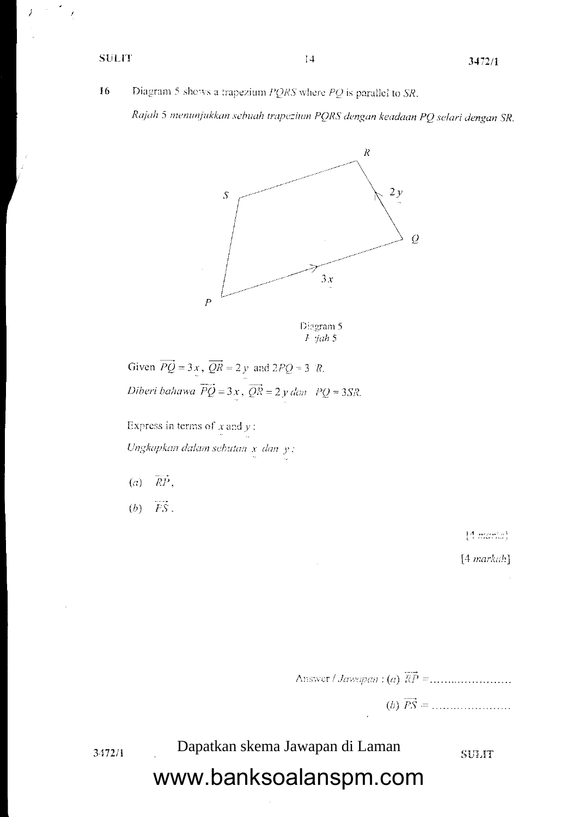$\frac{1}{2}$ 

Diagram 5 shows a trapezium  $PQRS$  where  $PQ$  is parallel to SR. 16

Rajah 5 menunjukkan sebuah trapezium PQRS dengan keadaan PQ selari dengan SR.



Disgram 5  $F$  jah 5

Given  $\overrightarrow{PQ} = 3x$ ,  $\overrightarrow{QR} = 2y$  and  $2PQ = 3/R$ . Diberi bahawa  $\overrightarrow{PQ} = 3x$ ,  $\overrightarrow{QR} = 2y$  dan  $PQ = 3SR$ .

Express in terms of  $x$  and  $y$ :

Ungkapkan dalam sebutan  $x$  dan  $y$ :

- $\overline{RP}$ ,  $\left(a\right)$
- $\overline{FS}$ .  $(b)$

[4 marito]

 $[4$  markah]

3472/1

#### Dapatkan skema Jawapan di Laman

**SULIT**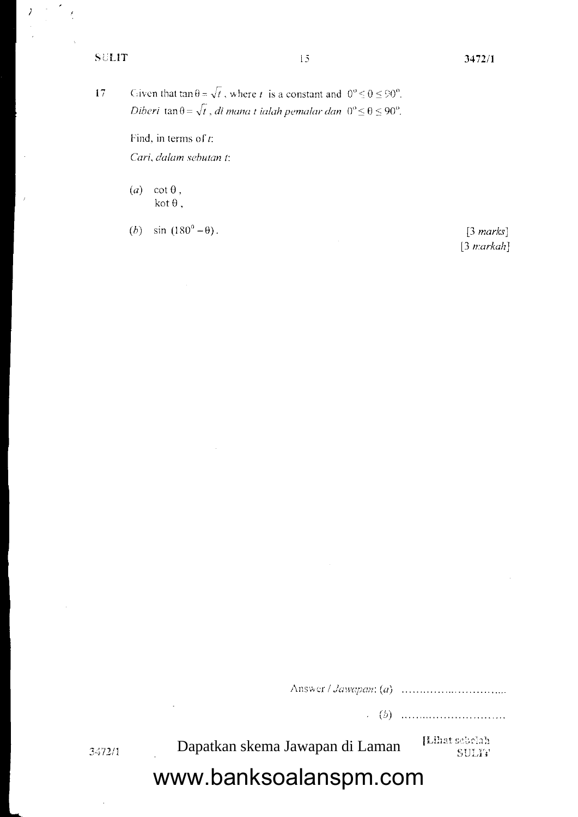$17$ 

Given that  $\tan \theta = \sqrt{t}$ , where t is a constant and  $0^{\circ} \le \theta \le 90^{\circ}$ . Diberi tan $\theta = \sqrt{t}$ , di mana t ialah pemalar dan  $0^{\circ} \le \theta \le 90^{\circ}$ .

Find, in terms of  $t$ :

Cari, dalam sebutan t:

(a) cot  $\theta$ , kot  $\theta$ ,

(*b*)  $\sin(180^\circ - \theta)$ .

 $[3 \text{ marks}]$  $[3$  markah]

3472/1

Dapatkan skema Jawapan di Laman

[Lihat sebelah **SULIT**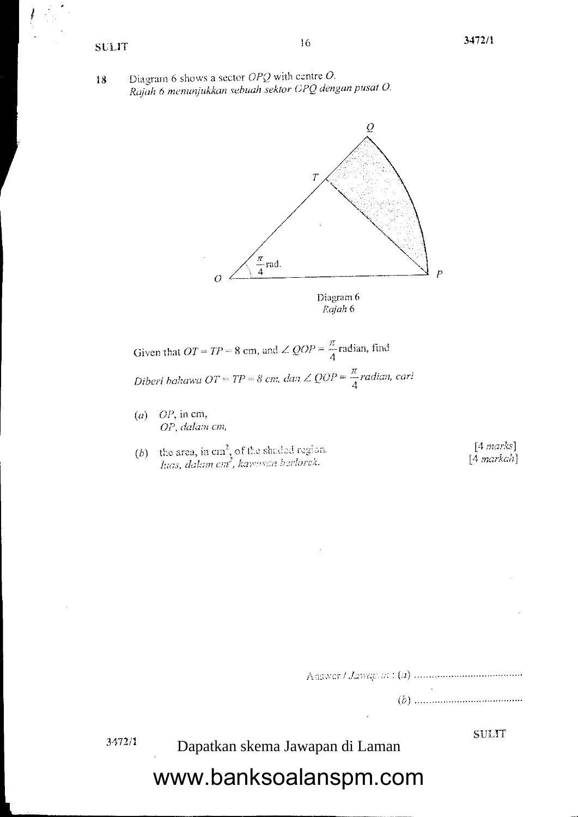Diagram 6 shows a sector  $OPQ$  with centre  $O$ . 18 Rajah 6 menunjukkan sebuah sektor OPQ dengan pusat O.



Given that  $OT = TP = 8$  cm, and  $\angle QOP = \frac{\pi}{4}$  radian, find Diberi bahawa OT = TP = 8 cm, dan  $\angle$  QOP =  $\frac{\pi}{4}$ radian, cari

- $(a)$  OP, in cm, OP, dalam cm,
- (b) the area, in cm<sup>2</sup>, of the shaded region.<br>*luas, dalam cm<sup>2</sup>, kawasan berlorek.*

 $[4 marks]$  $[4$  markah]

**SULIT** 

3472/1

Dapatkan skema Jawapan di Laman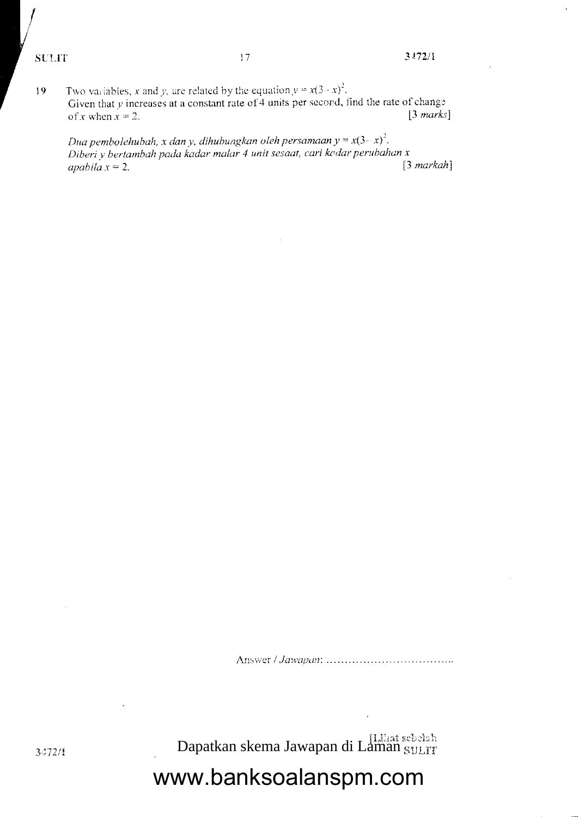Two variables, x and y, are related by the equation  $y = x(3-x)^2$ . 19 Given that  $y$  increases at a constant rate of 4 units per second, find the rate of change  $[3 \text{ marks}]$ of x when  $x = 2$ .

Dua pembolehubah, x dan y, dihubungkan oleh persamaan  $y = x(3-x)^2$ . Diberi y bertambah pada kadar malar 4 unit sesaat, cari kadar perubahan x  $[3$  markah] apabila  $x = 2$ .

Dapatkan skema Jawapan di Laman SULIT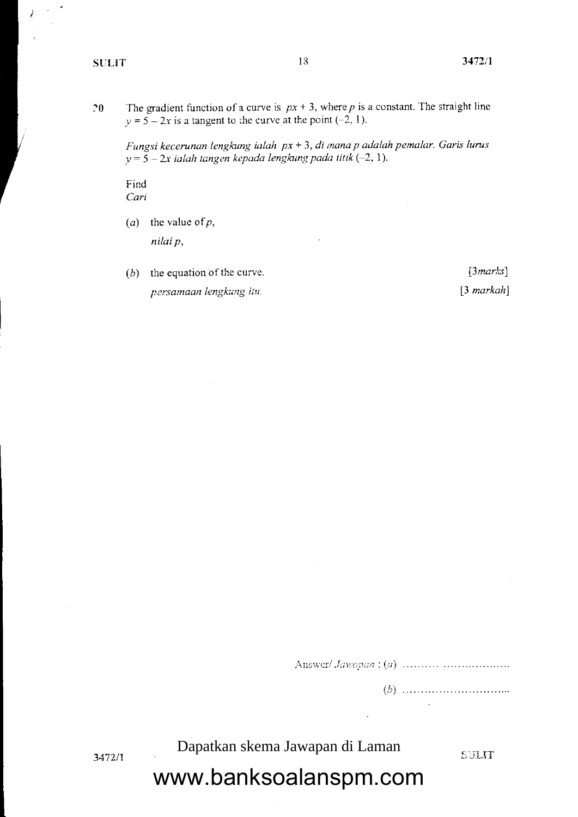3472/1

The gradient function of a curve is  $px + 3$ , where p is a constant. The straight line  $\hat{z}$ <sup>0</sup>  $y = 5 - 2x$  is a tangent to the curve at the point (-2, 1).

Fungsi kecerunan lengkung ialah px + 3, di mana p adalah pemalar. Garis lurus  $y = 5 - 2x$  ialah tangen kepada lengkung pada titik (-2, 1).

Find Cari

- (*a*) the value of  $p$ , nilai p,
- $(b)$  the equation of the curve. persamaan lengkung itu.

 $[3 marks]$  $[3$  markah]

 $\ddot{\phantom{0}}$ 

Dapatkan skema Jawapan di Laman

SULIT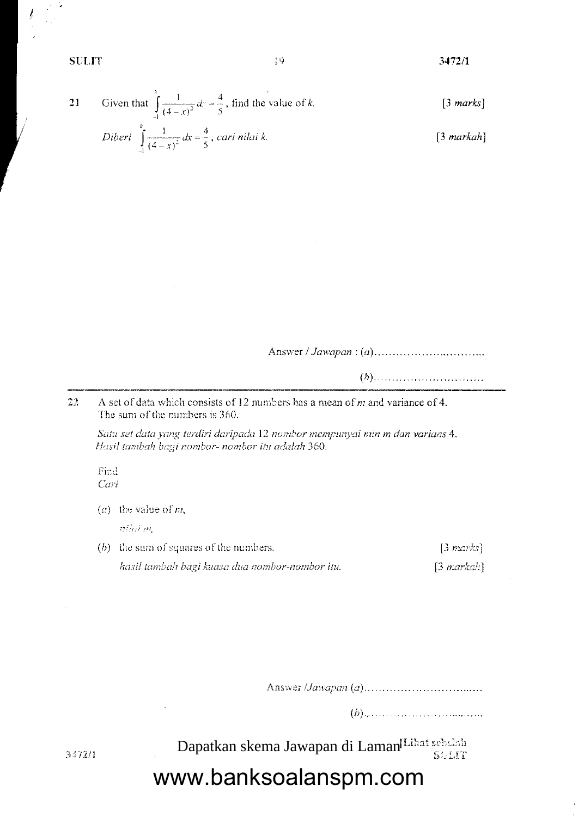21 Given that 
$$
\int_{-1}^{k} \frac{1}{(4-x)^2} dx = \frac{4}{5}
$$
, find the value of *k*.

\n[3 marks]

\n*Diberi* 
$$
\int_{-1}^{k} \frac{1}{(4-x)^2} dx = \frac{4}{5}
$$
, *cari nilai k*.

\n[3 marks]

22 A set of data which consists of 12 numbers has a mean of m and variance of 4. The sum of the numbers is 360.

Satu set data yang terdiri daripada 12 nombor mempunyai min m dan varians 4. Hasil tambah bagi nombor- nombor itu adalah 360.

Find Cari

(*c*) the value of *m*,

भरीतो छ।

 $(b)$  the sum of squares of the numbers.  $[3$  marks $]$ hasil tambah bagi kuasa dua nombor-nombor itu.  $[3$  markah]

Dapatkan skema Jawapan di Laman Lihat sebelah SULT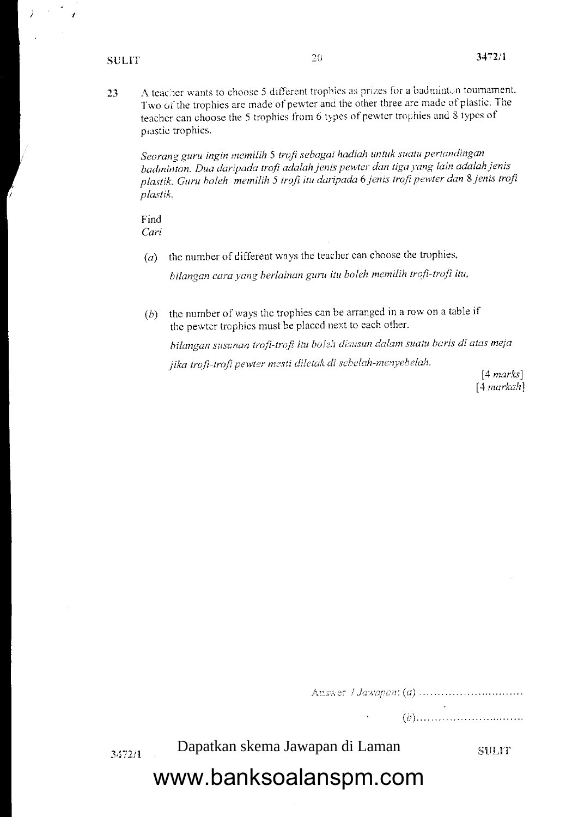A teacher wants to choose 5 different trophies as prizes for a badminton tournament. 23 Two of the trophies are made of pewter and the other three are made of plastic. The teacher can choose the 5 trophies from 6 types of pewter trophies and 8 types of plastic trophies.

Seorang guru ingin memilih 5 trofi sebagai hadiah untuk suatu pertandingan badminton. Dua daripada trofi adalah jenis pewter dan tiga yang lain adalah jenis plastik. Guru boleh memilih 5 trofi itu daripada 6 jenis trofi pewter dan 8 jenis trofi plastik.

Find Cari

> the number of different ways the teacher can choose the trophies,  $(a)$

bilangan cara yang berlainan guru itu boleh memilih trofi-trofi itu,

the number of ways the trophies can be arranged in a row on a table if  $(b)$ the pewter trophies must be placed next to each other.

bilangan susunan trofi-trofi itu boleh disusun dalam suatu baris di atas meja jika trofi-trofi pewter mesti diletak di sebelah-menyebelah.

 $[4 marks]$  $[4$  markah]

3472/1

Dapatkan skema Jawapan di Laman

SULIT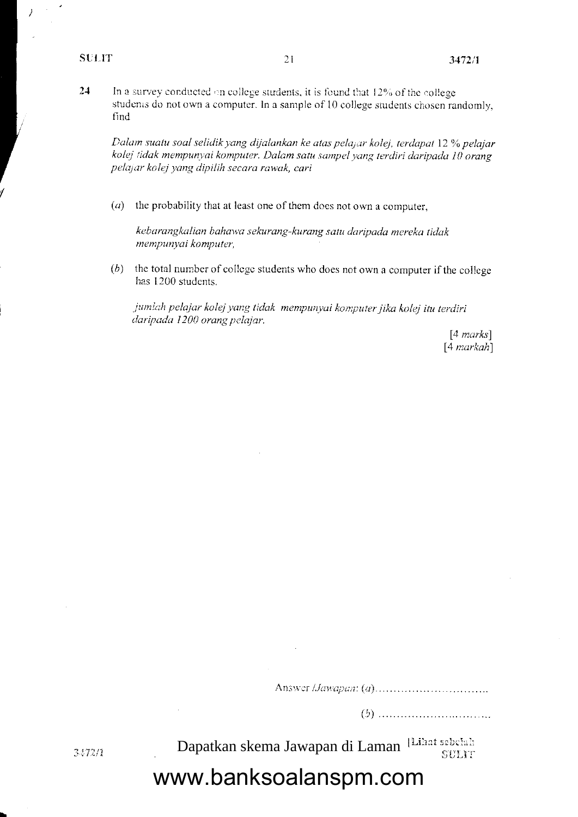21 In a survey conducted on college students, it is found that  $12\%$  of the college studen,s do not own a computer. In a sample of 10 college students chosen randomly, find

Dalam suatu soal selidik yang dijalankan ke atas pelajar kolej, terdapat 12 % pelajar kolej tidak mempunyai komputer. Dalam satu sampel yang terdiri daripada 10 orang pelajar kolej yang dipilih secara rawak, cari

(a) the probability that at least one of them does not own a computer,

kebarangkalian bahawa sekurang-kurang satu daripada mereka tidak mempunyai komputer,

 $(b)$  the total number of college students who does not own a computer if the college has 1200 studcnts.

jumlah pelajar kolej yang tidak mempunyai komputer jika kolej itu terdiri daripada 1200 orang pelajar.

> $[4$  marks]  $[4$  markah $]$

Dapatkan skema Jawapan di Laman lilihat sebelah **SULIT** 

#### www.banksoalanspm.com

3472/1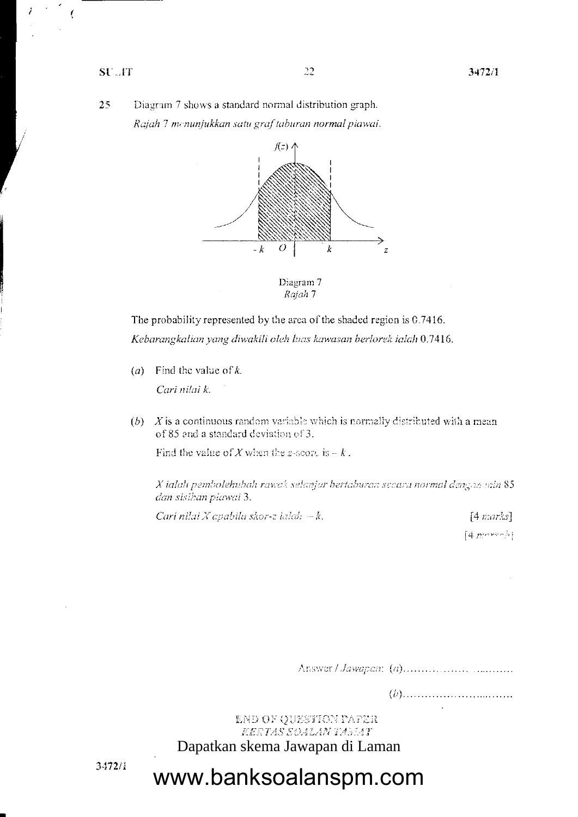ţ



22

Diagram 7 Rajah 7

The probability represented by the area of the shaded region is 0.7416. Kebarangkalian yang diwakili oleh luas kawasan berlorek ialah 0.7416.

Find the value of  $k$ .  $(a)$ 

Cari nilai k.

(b)  $X$  is a continuous random variable which is normally distributed with a mean of 85 and a standard deviation of 3.

Find the value of X when the z-score is  $-k$ .

X ialah pembolehubah rawak selanjar bertaburan secara normal dengan min 85 dan sisihan piawai 3.

Cari nilai X apabila skor-z ialah  $-k$ .

 $[4$  marks]  $[4$  markabl

END OF QUESTION PAPER KERTAS SUALAN TAMAT

Dapatkan skema Jawapan di Laman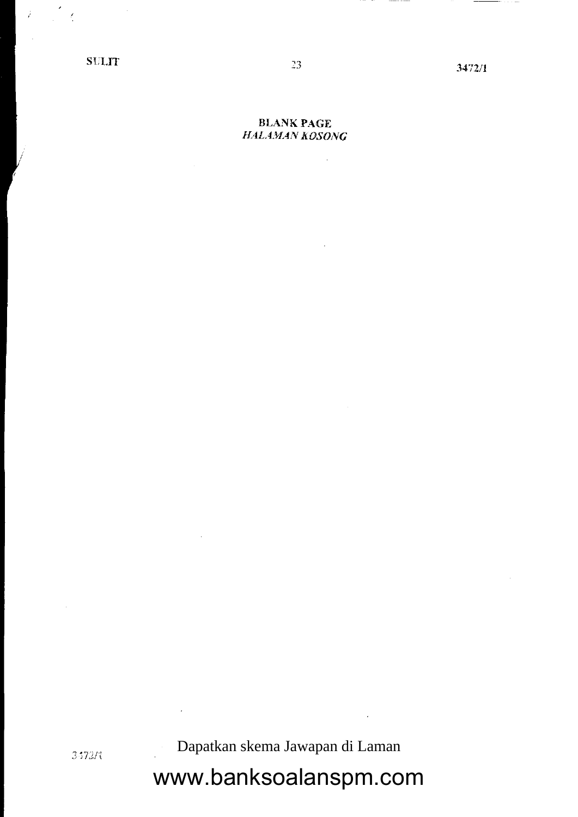$\frac{1}{\sqrt{2}}$ 

Ź

3472/1

#### **BLANK PAGE HALAMAN KOSONG**

 $\ddot{\phantom{a}}$ 

Dapatkan skema Jawapan di Laman

# www.banksoalanspm.com

3472/1

 $\ddot{\phantom{a}}$